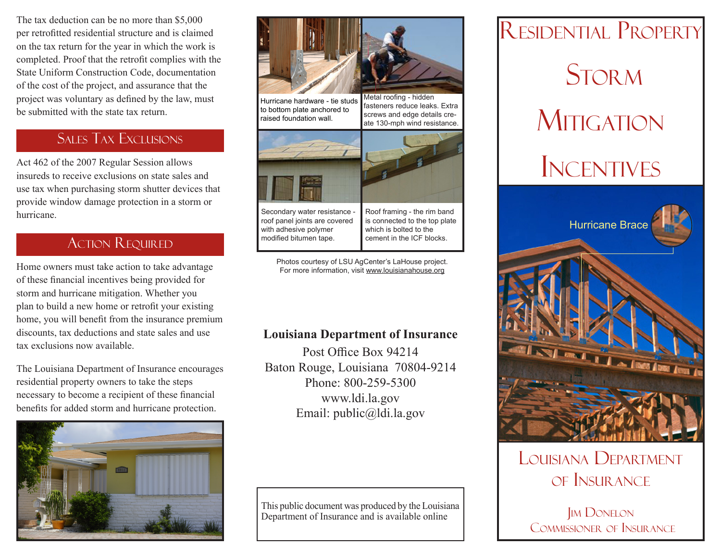The tax deduction can be no more than \$5,000 per retrofitted residential structure and is claimed on the tax return for the year in which the work is completed. Proof that the retrofit complies with the State Uniform Construction Code, documentation of the cost of the project, and assurance that the project was voluntary as defined by the law, must be submitted with the state tax return.

## Sales Tax Exclusions

Act 462 of the 2007 Regular Session allows<br>
INCENTIVES insureds to receive exclusions on state sales and use tax when purchasing storm shutter devices that provide window damage protection in a storm or hurricane.

## Action Required

Home owners must take action to take advantage of these financial incentives being provided for storm and hurricane mitigation. Whether you plan to build a new home or retrofit your existing home, you will benefit from the insurance premium discounts, tax deductions and state sales and use tax exclusions now available.

The Louisiana Department of Insurance encourages residential property owners to take the steps necessary to become a recipient of these financial benefits for added storm and hurricane protection.





Hurricane hardware - tie studs to bottom plate anchored to raised foundation wall.

Metal roofing - hidden fasteners reduce leaks. Extra screws and edge details create 130-mph wind resistance.



Secondary water resistance roof panel joints are covered with adhesive polymer modified bitumen tape.

Roof framing - the rim band is connected to the top plate which is bolted to the cement in the ICF blocks.

Photos courtesy of LSU AgCenter's LaHouse project. For more information, visit www.louisianahouse.org

### **Louisiana Department of Insurance**

Post Office Box 94214 Baton Rouge, Louisiana 70804-9214 Phone: 800-259-5300 www.ldi.la.gov Email: public@ldi.la.gov

This public document was produced by the Louisiana Department of Insurance and is available online

# Residential Property **STORM MITIGATION**



# Louisiana Department of Insurance

**IM DONELON** Commissioner of Insurance